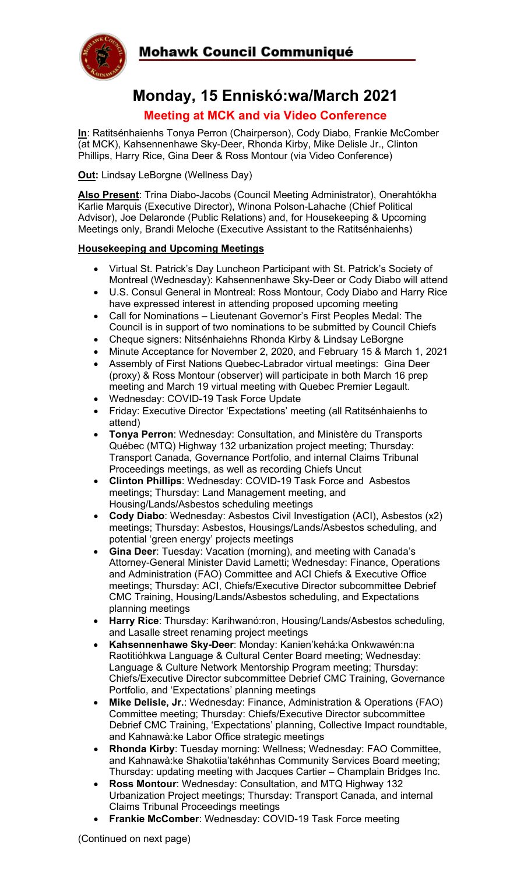



# **Monday, 15 Enniskó:wa/March 2021**

## **Meeting at MCK and via Video Conference**

**In**: Ratitsénhaienhs Tonya Perron (Chairperson), Cody Diabo, Frankie McComber (at MCK), Kahsennenhawe Sky-Deer, Rhonda Kirby, Mike Delisle Jr., Clinton Phillips, Harry Rice, Gina Deer & Ross Montour (via Video Conference)

**Out:** Lindsay LeBorgne (Wellness Day)

**Also Present**: Trina Diabo-Jacobs (Council Meeting Administrator), Onerahtókha Karlie Marquis (Executive Director), Winona Polson-Lahache (Chief Political Advisor), Joe Delaronde (Public Relations) and, for Housekeeping & Upcoming Meetings only, Brandi Meloche (Executive Assistant to the Ratitsénhaienhs)

#### **Housekeeping and Upcoming Meetings**

- Virtual St. Patrick's Day Luncheon Participant with St. Patrick's Society of Montreal (Wednesday): Kahsennenhawe Sky-Deer or Cody Diabo will attend
- U.S. Consul General in Montreal: Ross Montour, Cody Diabo and Harry Rice have expressed interest in attending proposed upcoming meeting
- Call for Nominations Lieutenant Governor's First Peoples Medal: The Council is in support of two nominations to be submitted by Council Chiefs
- Cheque signers: Nitsénhaiehns Rhonda Kirby & Lindsay LeBorgne
- Minute Acceptance for November 2, 2020, and February 15 & March 1, 2021
- Assembly of First Nations Quebec-Labrador virtual meetings: Gina Deer (proxy) & Ross Montour (observer) will participate in both March 16 prep meeting and March 19 virtual meeting with Quebec Premier Legault.
- Wednesday: COVID-19 Task Force Update
- Friday: Executive Director 'Expectations' meeting (all Ratitsénhaienhs to attend)
- **Tonya Perron**: Wednesday: Consultation, and Ministère du Transports Québec (MTQ) Highway 132 urbanization project meeting; Thursday: Transport Canada, Governance Portfolio, and internal Claims Tribunal Proceedings meetings, as well as recording Chiefs Uncut
- **Clinton Phillips**: Wednesday: COVID-19 Task Force and Asbestos meetings; Thursday: Land Management meeting, and Housing/Lands/Asbestos scheduling meetings
- **Cody Diabo**: Wednesday: Asbestos Civil Investigation (ACI), Asbestos (x2) meetings; Thursday: Asbestos, Housings/Lands/Asbestos scheduling, and potential 'green energy' projects meetings
- **Gina Deer**: Tuesday: Vacation (morning), and meeting with Canada's Attorney-General Minister David Lametti; Wednesday: Finance, Operations and Administration (FAO) Committee and ACI Chiefs & Executive Office meetings; Thursday: ACI, Chiefs/Executive Director subcommittee Debrief CMC Training, Housing/Lands/Asbestos scheduling, and Expectations planning meetings
- **Harry Rice**: Thursday: Karihwanó:ron, Housing/Lands/Asbestos scheduling, and Lasalle street renaming project meetings
- **Kahsennenhawe Sky-Deer**: Monday: Kanien'kehá:ka Onkwawén:na Raotitióhkwa Language & Cultural Center Board meeting; Wednesday: Language & Culture Network Mentorship Program meeting; Thursday: Chiefs/Executive Director subcommittee Debrief CMC Training, Governance Portfolio, and 'Expectations' planning meetings
- **Mike Delisle, Jr.**: Wednesday: Finance, Administration & Operations (FAO) Committee meeting; Thursday: Chiefs/Executive Director subcommittee Debrief CMC Training, 'Expectations' planning, Collective Impact roundtable, and Kahnawà:ke Labor Office strategic meetings
- **Rhonda Kirby**: Tuesday morning: Wellness; Wednesday: FAO Committee, and Kahnawà:ke Shakotiia'takéhnhas Community Services Board meeting; Thursday: updating meeting with Jacques Cartier – Champlain Bridges Inc.
- **Ross Montour**: Wednesday: Consultation, and MTQ Highway 132 Urbanization Project meetings; Thursday: Transport Canada, and internal Claims Tribunal Proceedings meetings
- **Frankie McComber**: Wednesday: COVID-19 Task Force meeting